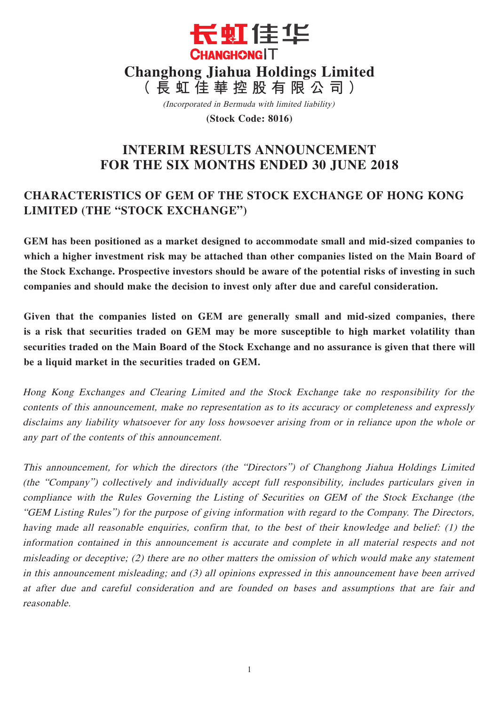

(Incorporated in Bermuda with limited liability)

**(Stock Code: 8016)**

# **INTERIM RESULTS ANNOUNCEMENT FOR THE SIX MONTHS ENDED 30 JUNE 2018**

# **CHARACTERISTICS OF GEM OF THE STOCK EXCHANGE OF HONG KONG LIMITED (THE "STOCK EXCHANGE")**

**GEM has been positioned as a market designed to accommodate small and mid-sized companies to which a higher investment risk may be attached than other companies listed on the Main Board of the Stock Exchange. Prospective investors should be aware of the potential risks of investing in such companies and should make the decision to invest only after due and careful consideration.**

**Given that the companies listed on GEM are generally small and mid-sized companies, there is a risk that securities traded on GEM may be more susceptible to high market volatility than securities traded on the Main Board of the Stock Exchange and no assurance is given that there will be a liquid market in the securities traded on GEM.**

Hong Kong Exchanges and Clearing Limited and the Stock Exchange take no responsibility for the contents of this announcement, make no representation as to its accuracy or completeness and expressly disclaims any liability whatsoever for any loss howsoever arising from or in reliance upon the whole or any part of the contents of this announcement.

This announcement, for which the directors (the "Directors") of Changhong Jiahua Holdings Limited (the "Company") collectively and individually accept full responsibility, includes particulars given in compliance with the Rules Governing the Listing of Securities on GEM of the Stock Exchange (the "GEM Listing Rules") for the purpose of giving information with regard to the Company. The Directors, having made all reasonable enquiries, confirm that, to the best of their knowledge and belief: (1) the information contained in this announcement is accurate and complete in all material respects and not misleading or deceptive; (2) there are no other matters the omission of which would make any statement in this announcement misleading; and (3) all opinions expressed in this announcement have been arrived at after due and careful consideration and are founded on bases and assumptions that are fair and reasonable.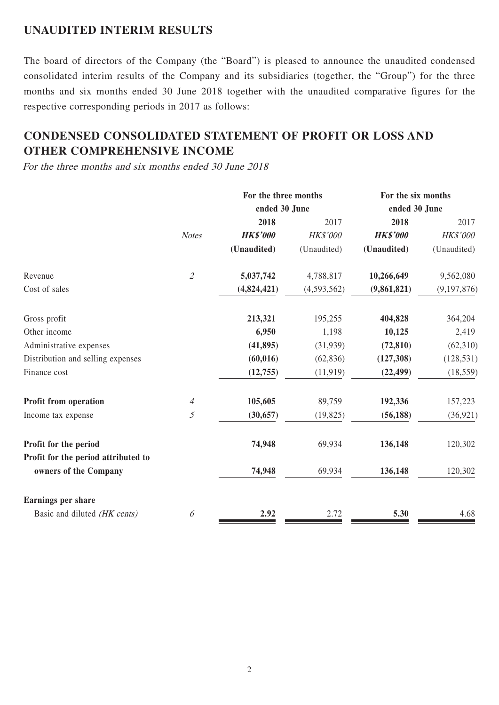### **UNAUDITED INTERIM RESULTS**

The board of directors of the Company (the "Board") is pleased to announce the unaudited condensed consolidated interim results of the Company and its subsidiaries (together, the "Group") for the three months and six months ended 30 June 2018 together with the unaudited comparative figures for the respective corresponding periods in 2017 as follows:

# **CONDENSED CONSOLIDATED STATEMENT OF PROFIT OR LOSS AND OTHER COMPREHENSIVE INCOME**

For the three months and six months ended 30 June 2018

|                                     | For the three months        |                 |                 | For the six months |                 |
|-------------------------------------|-----------------------------|-----------------|-----------------|--------------------|-----------------|
|                                     |                             | ended 30 June   |                 | ended 30 June      |                 |
|                                     |                             | 2018            | 2017            | 2018               | 2017            |
|                                     | <b>Notes</b>                | <b>HK\$'000</b> | <b>HK\$'000</b> | <b>HK\$'000</b>    | <b>HK\$'000</b> |
|                                     |                             | (Unaudited)     | (Unaudited)     | (Unaudited)        | (Unaudited)     |
| Revenue                             | $\mathcal{L}_{\mathcal{L}}$ | 5,037,742       | 4,788,817       | 10,266,649         | 9,562,080       |
| Cost of sales                       |                             | (4,824,421)     | (4,593,562)     | (9,861,821)        | (9,197,876)     |
| Gross profit                        |                             | 213,321         | 195,255         | 404,828            | 364,204         |
| Other income                        |                             | 6,950           | 1,198           | 10,125             | 2,419           |
| Administrative expenses             |                             | (41, 895)       | (31,939)        | (72, 810)          | (62,310)        |
| Distribution and selling expenses   |                             | (60, 016)       | (62, 836)       | (127,308)          | (128, 531)      |
| Finance cost                        |                             | (12,755)        | (11, 919)       | (22, 499)          | (18, 559)       |
| Profit from operation               | $\overline{A}$              | 105,605         | 89,759          | 192,336            | 157,223         |
| Income tax expense                  | $\mathfrak{H}$              | (30, 657)       | (19, 825)       | (56, 188)          | (36, 921)       |
| Profit for the period               |                             | 74,948          | 69,934          | 136,148            | 120,302         |
| Profit for the period attributed to |                             |                 |                 |                    |                 |
| owners of the Company               |                             | 74,948          | 69,934          | 136,148            | 120,302         |
| Earnings per share                  |                             |                 |                 |                    |                 |
| Basic and diluted (HK cents)        | 6                           | 2.92            | 2.72            | 5.30               | 4.68            |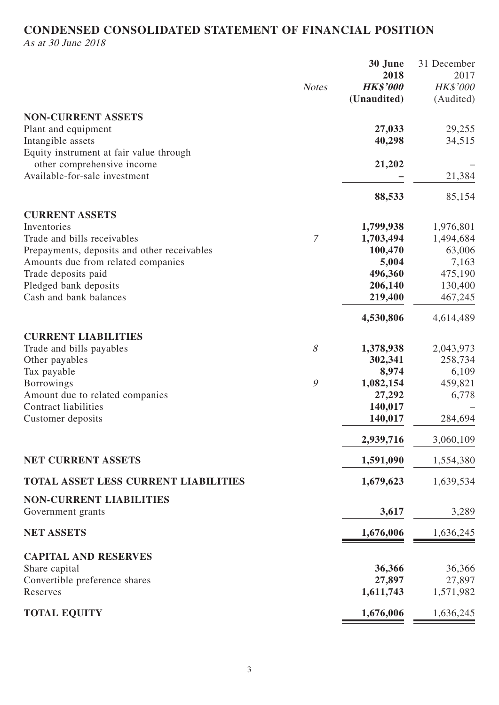# **CONDENSED CONSOLIDATED STATEMENT OF FINANCIAL POSITION**

As at 30 June 2018

|                                             |                | 30 June         | 31 December     |
|---------------------------------------------|----------------|-----------------|-----------------|
|                                             |                | 2018            | 2017            |
|                                             | <b>Notes</b>   | <b>HK\$'000</b> | <b>HK\$'000</b> |
|                                             |                | (Unaudited)     | (Audited)       |
| <b>NON-CURRENT ASSETS</b>                   |                |                 |                 |
|                                             |                |                 |                 |
| Plant and equipment                         |                | 27,033          | 29,255          |
| Intangible assets                           |                | 40,298          | 34,515          |
| Equity instrument at fair value through     |                |                 |                 |
| other comprehensive income                  |                | 21,202          |                 |
| Available-for-sale investment               |                |                 | 21,384          |
|                                             |                | 88,533          | 85,154          |
|                                             |                |                 |                 |
| <b>CURRENT ASSETS</b>                       |                |                 |                 |
| Inventories                                 |                | 1,799,938       | 1,976,801       |
| Trade and bills receivables                 | $\overline{7}$ | 1,703,494       | 1,494,684       |
| Prepayments, deposits and other receivables |                | 100,470         | 63,006          |
| Amounts due from related companies          |                | 5,004           | 7,163           |
| Trade deposits paid                         |                | 496,360         | 475,190         |
| Pledged bank deposits                       |                | 206,140         | 130,400         |
| Cash and bank balances                      |                | 219,400         | 467,245         |
|                                             |                |                 |                 |
|                                             |                | 4,530,806       | 4,614,489       |
| <b>CURRENT LIABILITIES</b>                  |                |                 |                 |
| Trade and bills payables                    | $\mathcal S$   | 1,378,938       | 2,043,973       |
| Other payables                              |                | 302,341         | 258,734         |
| Tax payable                                 |                | 8,974           | 6,109           |
| <b>Borrowings</b>                           | 9              | 1,082,154       | 459,821         |
| Amount due to related companies             |                | 27,292          | 6,778           |
| Contract liabilities                        |                | 140,017         |                 |
|                                             |                | 140,017         | 284,694         |
| Customer deposits                           |                |                 |                 |
|                                             |                | 2,939,716       | 3,060,109       |
|                                             |                |                 |                 |
| <b>NET CURRENT ASSETS</b>                   |                | 1,591,090       | 1,554,380       |
| <b>TOTAL ASSET LESS CURRENT LIABILITIES</b> |                | 1,679,623       | 1,639,534       |
|                                             |                |                 |                 |
| <b>NON-CURRENT LIABILITIES</b>              |                |                 |                 |
| Government grants                           |                | 3,617           | 3,289           |
|                                             |                |                 |                 |
| <b>NET ASSETS</b>                           |                | 1,676,006       | 1,636,245       |
|                                             |                |                 |                 |
| <b>CAPITAL AND RESERVES</b>                 |                |                 |                 |
| Share capital                               |                | 36,366          | 36,366          |
| Convertible preference shares               |                | 27,897          | 27,897          |
| Reserves                                    |                | 1,611,743       | 1,571,982       |
| <b>TOTAL EQUITY</b>                         |                | 1,676,006       | 1,636,245       |
|                                             |                |                 |                 |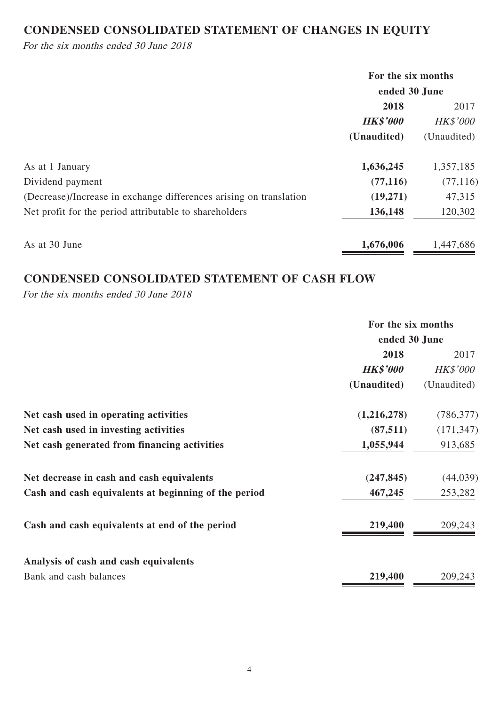# **CONDENSED CONSOLIDATED STATEMENT OF CHANGES IN EQUITY**

For the six months ended 30 June 2018

|                                                                    | For the six months |                 |  |
|--------------------------------------------------------------------|--------------------|-----------------|--|
|                                                                    | ended 30 June      |                 |  |
|                                                                    | 2018               | 2017            |  |
|                                                                    | <b>HK\$'000</b>    | <b>HK\$'000</b> |  |
|                                                                    | (Unaudited)        | (Unaudited)     |  |
| As at 1 January                                                    | 1,636,245          | 1,357,185       |  |
| Dividend payment                                                   | (77, 116)          | (77, 116)       |  |
| (Decrease)/Increase in exchange differences arising on translation | (19,271)           | 47,315          |  |
| Net profit for the period attributable to shareholders             | 136,148            | 120,302         |  |
| As at 30 June                                                      | 1,676,006          | 1,447,686       |  |

### **CONDENSED CONSOLIDATED STATEMENT OF CASH FLOW**

For the six months ended 30 June 2018

|                                                      | For the six months |                 |
|------------------------------------------------------|--------------------|-----------------|
|                                                      | ended 30 June      |                 |
|                                                      | 2018               | 2017            |
|                                                      | <b>HK\$'000</b>    | <b>HK\$'000</b> |
|                                                      | (Unaudited)        | (Unaudited)     |
| Net cash used in operating activities                | (1,216,278)        | (786, 377)      |
| Net cash used in investing activities                | (87,511)           | (171, 347)      |
| Net cash generated from financing activities         | 1,055,944          | 913,685         |
| Net decrease in cash and cash equivalents            | (247, 845)         | (44, 039)       |
| Cash and cash equivalents at beginning of the period | 467,245            | 253,282         |
| Cash and cash equivalents at end of the period       | 219,400            | 209,243         |
| Analysis of cash and cash equivalents                |                    |                 |
| Bank and cash balances                               | 219,400            | 209,243         |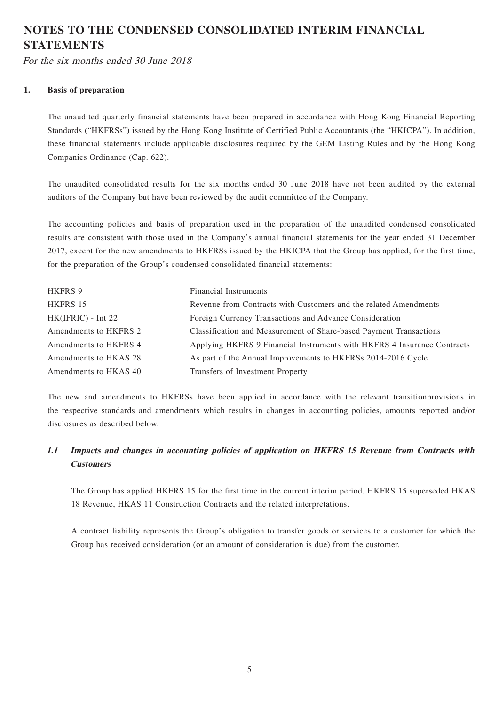# **NOTES TO THE CONDENSED CONSOLIDATED INTERIM FINANCIAL STATEMENTS**

For the six months ended 30 June 2018

### **1. Basis of preparation**

The unaudited quarterly financial statements have been prepared in accordance with Hong Kong Financial Reporting Standards ("HKFRSs") issued by the Hong Kong Institute of Certified Public Accountants (the "HKICPA"). In addition, these financial statements include applicable disclosures required by the GEM Listing Rules and by the Hong Kong Companies Ordinance (Cap. 622).

The unaudited consolidated results for the six months ended 30 June 2018 have not been audited by the external auditors of the Company but have been reviewed by the audit committee of the Company.

The accounting policies and basis of preparation used in the preparation of the unaudited condensed consolidated results are consistent with those used in the Company's annual financial statements for the year ended 31 December 2017, except for the new amendments to HKFRSs issued by the HKICPA that the Group has applied, for the first time, for the preparation of the Group's condensed consolidated financial statements:

| HKFRS 9               | <b>Financial Instruments</b>                                            |
|-----------------------|-------------------------------------------------------------------------|
| HKFRS 15              | Revenue from Contracts with Customers and the related Amendments        |
| $HK(IFRIC) - Int 22$  | Foreign Currency Transactions and Advance Consideration                 |
| Amendments to HKFRS 2 | Classification and Measurement of Share-based Payment Transactions      |
| Amendments to HKFRS 4 | Applying HKFRS 9 Financial Instruments with HKFRS 4 Insurance Contracts |
| Amendments to HKAS 28 | As part of the Annual Improvements to HKFRSs 2014-2016 Cycle            |
| Amendments to HKAS 40 | Transfers of Investment Property                                        |

The new and amendments to HKFRSs have been applied in accordance with the relevant transitionprovisions in the respective standards and amendments which results in changes in accounting policies, amounts reported and/or disclosures as described below.

### **1.1 Impacts and changes in accounting policies of application on HKFRS 15 Revenue from Contracts with Customers**

The Group has applied HKFRS 15 for the first time in the current interim period. HKFRS 15 superseded HKAS 18 Revenue, HKAS 11 Construction Contracts and the related interpretations.

A contract liability represents the Group's obligation to transfer goods or services to a customer for which the Group has received consideration (or an amount of consideration is due) from the customer.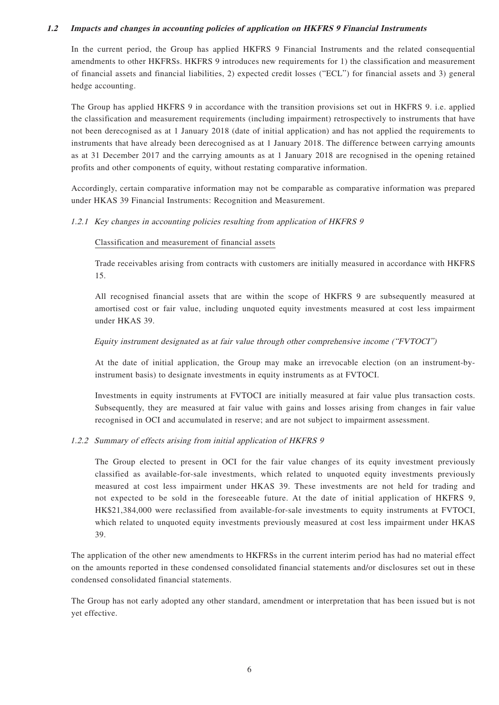#### **1.2 Impacts and changes in accounting policies of application on HKFRS 9 Financial Instruments**

In the current period, the Group has applied HKFRS 9 Financial Instruments and the related consequential amendments to other HKFRSs. HKFRS 9 introduces new requirements for 1) the classification and measurement of financial assets and financial liabilities, 2) expected credit losses ("ECL") for financial assets and 3) general hedge accounting.

The Group has applied HKFRS 9 in accordance with the transition provisions set out in HKFRS 9. i.e. applied the classification and measurement requirements (including impairment) retrospectively to instruments that have not been derecognised as at 1 January 2018 (date of initial application) and has not applied the requirements to instruments that have already been derecognised as at 1 January 2018. The difference between carrying amounts as at 31 December 2017 and the carrying amounts as at 1 January 2018 are recognised in the opening retained profits and other components of equity, without restating comparative information.

Accordingly, certain comparative information may not be comparable as comparative information was prepared under HKAS 39 Financial Instruments: Recognition and Measurement.

### 1.2.1 Key changes in accounting policies resulting from application of HKFRS 9

### Classification and measurement of financial assets

Trade receivables arising from contracts with customers are initially measured in accordance with HKFRS 15.

All recognised financial assets that are within the scope of HKFRS 9 are subsequently measured at amortised cost or fair value, including unquoted equity investments measured at cost less impairment under HKAS 39.

### Equity instrument designated as at fair value through other comprehensive income ("FVTOCI")

At the date of initial application, the Group may make an irrevocable election (on an instrument-byinstrument basis) to designate investments in equity instruments as at FVTOCI.

Investments in equity instruments at FVTOCI are initially measured at fair value plus transaction costs. Subsequently, they are measured at fair value with gains and losses arising from changes in fair value recognised in OCI and accumulated in reserve; and are not subject to impairment assessment.

#### 1.2.2 Summary of effects arising from initial application of HKFRS 9

The Group elected to present in OCI for the fair value changes of its equity investment previously classified as available-for-sale investments, which related to unquoted equity investments previously measured at cost less impairment under HKAS 39. These investments are not held for trading and not expected to be sold in the foreseeable future. At the date of initial application of HKFRS 9, HK\$21,384,000 were reclassified from available-for-sale investments to equity instruments at FVTOCI, which related to unquoted equity investments previously measured at cost less impairment under HKAS 39.

The application of the other new amendments to HKFRSs in the current interim period has had no material effect on the amounts reported in these condensed consolidated financial statements and/or disclosures set out in these condensed consolidated financial statements.

The Group has not early adopted any other standard, amendment or interpretation that has been issued but is not yet effective.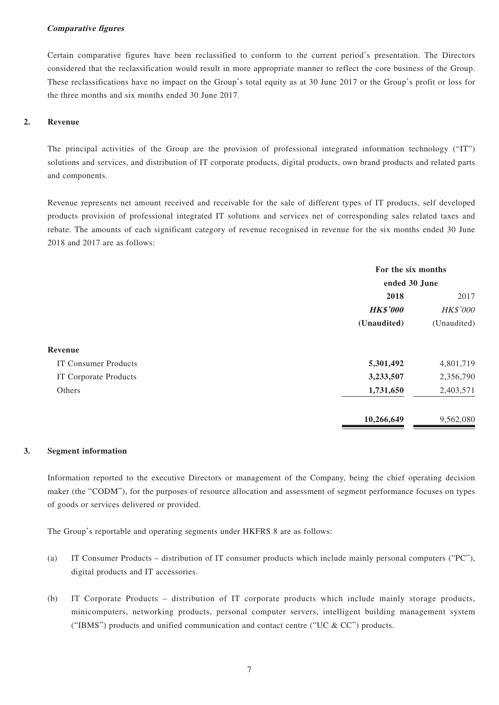#### **Comparative figures**

Certain comparative figures have been reclassified to conform to the current period's presentation. The Directors considered that the reclassification would result in more appropriate manner to reflect the core business of the Group. These reclassifications have no impact on the Group's total equity as at 30 June 2017 or the Group's profit or loss for the three months and six months ended 30 June 2017.

#### **2. Revenue**

The principal activities of the Group are the provision of professional integrated information technology ("IT") solutions and services, and distribution of IT corporate products, digital products, own brand products and related parts and components.

Revenue represents net amount received and receivable for the sale of different types of IT products, self developed products provision of professional integrated IT solutions and services net of corresponding sales related taxes and rebate. The amounts of each significant category of revenue recognised in revenue for the six months ended 30 June 2018 and 2017 are as follows:

|                             | For the six months         |           |  |
|-----------------------------|----------------------------|-----------|--|
|                             | ended 30 June              |           |  |
|                             | 2018                       | 2017      |  |
|                             | <b>HK\$'000</b>            | HK\$'000  |  |
|                             | (Unaudited)<br>(Unaudited) |           |  |
| Revenue                     |                            |           |  |
| <b>IT Consumer Products</b> | 5,301,492                  | 4,801,719 |  |
| IT Corporate Products       | 3,233,507                  | 2,356,790 |  |
| Others                      | 1,731,650                  | 2,403,571 |  |
|                             | 10,266,649                 | 9,562,080 |  |

#### **3. Segment information**

Information reported to the executive Directors or management of the Company, being the chief operating decision maker (the "CODM"), for the purposes of resource allocation and assessment of segment performance focuses on types of goods or services delivered or provided.

The Group's reportable and operating segments under HKFRS 8 are as follows:

- (a) IT Consumer Products distribution of IT consumer products which include mainly personal computers ("PC"), digital products and IT accessories.
- (b) IT Corporate Products distribution of IT corporate products which include mainly storage products, minicomputers, networking products, personal computer servers, intelligent building management system ("IBMS") products and unified communication and contact centre ("UC  $\&$  CC") products.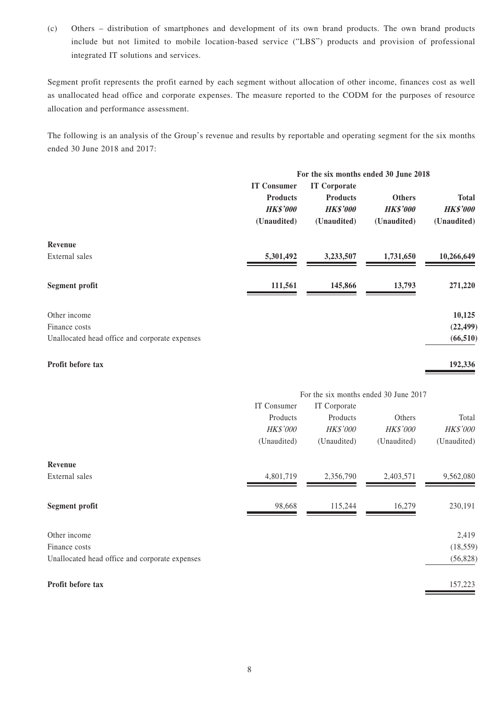(c) Others – distribution of smartphones and development of its own brand products. The own brand products include but not limited to mobile location-based service ("LBS") products and provision of professional integrated IT solutions and services.

Segment profit represents the profit earned by each segment without allocation of other income, finances cost as well as unallocated head office and corporate expenses. The measure reported to the CODM for the purposes of resource allocation and performance assessment.

The following is an analysis of the Group's revenue and results by reportable and operating segment for the six months ended 30 June 2018 and 2017:

|                                                |                    | For the six months ended 30 June 2018 |                 |                 |
|------------------------------------------------|--------------------|---------------------------------------|-----------------|-----------------|
|                                                | <b>IT Consumer</b> | <b>IT Corporate</b>                   |                 |                 |
|                                                | <b>Products</b>    | <b>Products</b>                       | <b>Others</b>   | <b>Total</b>    |
|                                                | <b>HK\$'000</b>    | <b>HK\$'000</b>                       | <b>HK\$'000</b> | <b>HK\$'000</b> |
|                                                | (Unaudited)        | (Unaudited)                           | (Unaudited)     | (Unaudited)     |
| Revenue                                        |                    |                                       |                 |                 |
| External sales                                 | 5,301,492          | 3,233,507                             | 1,731,650       | 10,266,649      |
| <b>Segment profit</b>                          | 111,561            | 145,866                               | 13,793          | 271,220         |
| Other income                                   |                    |                                       |                 | 10,125          |
| Finance costs                                  |                    |                                       |                 | (22, 499)       |
| Unallocated head office and corporate expenses |                    |                                       |                 | (66, 510)       |
| Profit before tax                              |                    |                                       |                 | 192,336         |

|                                                | For the six months ended 30 June 2017 |                 |             |                 |
|------------------------------------------------|---------------------------------------|-----------------|-------------|-----------------|
|                                                | IT Consumer                           | IT Corporate    |             |                 |
|                                                | Products                              | Products        | Others      | Total           |
|                                                | <b>HK\$'000</b>                       | <b>HK\$'000</b> | HK\$'000    | <b>HK\$'000</b> |
|                                                | (Unaudited)                           | (Unaudited)     | (Unaudited) | (Unaudited)     |
| Revenue                                        |                                       |                 |             |                 |
| External sales                                 | 4,801,719                             | 2,356,790       | 2,403,571   | 9,562,080       |
| <b>Segment profit</b>                          | 98,668                                | 115,244         | 16,279      | 230,191         |
| Other income                                   |                                       |                 |             | 2,419           |
| Finance costs                                  |                                       |                 |             | (18, 559)       |
| Unallocated head office and corporate expenses |                                       |                 |             | (56,828)        |
| Profit before tax                              |                                       |                 |             | 157,223         |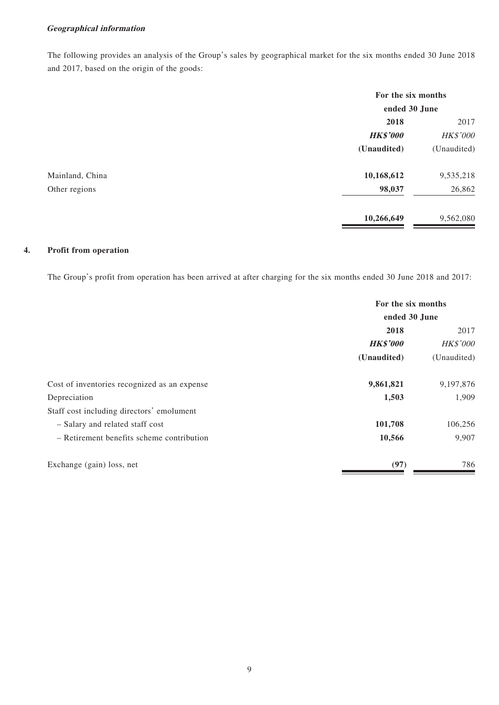### **Geographical information**

The following provides an analysis of the Group's sales by geographical market for the six months ended 30 June 2018 and 2017, based on the origin of the goods:

|                 |                 | For the six months<br>ended 30 June |  |
|-----------------|-----------------|-------------------------------------|--|
|                 |                 |                                     |  |
|                 | 2018            | 2017                                |  |
|                 | <b>HK\$'000</b> | HK\$'000                            |  |
|                 | (Unaudited)     | (Unaudited)                         |  |
| Mainland, China | 10,168,612      | 9,535,218                           |  |
| Other regions   | 98,037          | 26,862                              |  |
|                 | 10,266,649      | 9,562,080                           |  |

### **4. Profit from operation**

The Group's profit from operation has been arrived at after charging for the six months ended 30 June 2018 and 2017:

|                                              | For the six months<br>ended 30 June |             |  |
|----------------------------------------------|-------------------------------------|-------------|--|
|                                              |                                     |             |  |
|                                              | 2018                                | 2017        |  |
|                                              | <b>HK\$'000</b>                     | HK\$'000    |  |
|                                              | (Unaudited)                         | (Unaudited) |  |
| Cost of inventories recognized as an expense | 9,861,821                           | 9,197,876   |  |
| Depreciation                                 | 1,503                               | 1,909       |  |
| Staff cost including directors' emolument    |                                     |             |  |
| - Salary and related staff cost              | 101,708                             | 106,256     |  |
| - Retirement benefits scheme contribution    | 10,566                              | 9,907       |  |
| Exchange (gain) loss, net                    | (97)                                | 786         |  |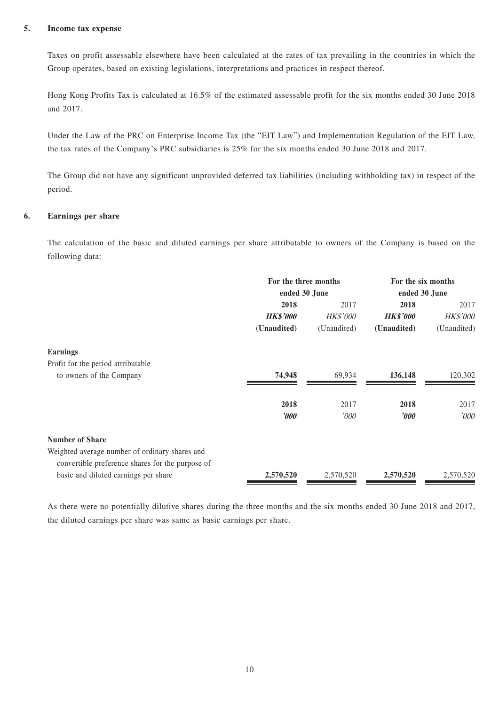#### **5. Income tax expense**

Taxes on profit assessable elsewhere have been calculated at the rates of tax prevailing in the countries in which the Group operates, based on existing legislations, interpretations and practices in respect thereof.

Hong Kong Profits Tax is calculated at 16.5% of the estimated assessable profit for the six months ended 30 June 2018 and 2017.

Under the Law of the PRC on Enterprise Income Tax (the "EIT Law") and Implementation Regulation of the EIT Law, the tax rates of the Company's PRC subsidiaries is 25% for the six months ended 30 June 2018 and 2017.

The Group did not have any significant unprovided deferred tax liabilities (including withholding tax) in respect of the period.

### **6. Earnings per share**

The calculation of the basic and diluted earnings per share attributable to owners of the Company is based on the following data:

|                                                  | For the three months    |                 | For the six months    |                 |
|--------------------------------------------------|-------------------------|-----------------|-----------------------|-----------------|
|                                                  | ended 30 June           |                 | ended 30 June         |                 |
|                                                  | 2018                    | 2017            | 2018                  | 2017            |
|                                                  | <b>HK\$'000</b>         | <b>HK\$'000</b> | <b>HK\$'000</b>       | <b>HK\$'000</b> |
|                                                  | (Unaudited)             | (Unaudited)     | (Unaudited)           | (Unaudited)     |
| <b>Earnings</b>                                  |                         |                 |                       |                 |
| Profit for the period attributable               |                         |                 |                       |                 |
| to owners of the Company                         | 74,948                  | 69,934          | 136,148               | 120,302         |
|                                                  | 2018                    | 2017            | 2018                  | 2017            |
|                                                  | $\boldsymbol{\it v000}$ | '000'           | $\boldsymbol{\delta}$ | '000            |
| <b>Number of Share</b>                           |                         |                 |                       |                 |
| Weighted average number of ordinary shares and   |                         |                 |                       |                 |
| convertible preference shares for the purpose of |                         |                 |                       |                 |
| basic and diluted earnings per share             | 2,570,520               | 2,570,520       | 2,570,520             | 2,570,520       |

As there were no potentially dilutive shares during the three months and the six months ended 30 June 2018 and 2017, the diluted earnings per share was same as basic earnings per share.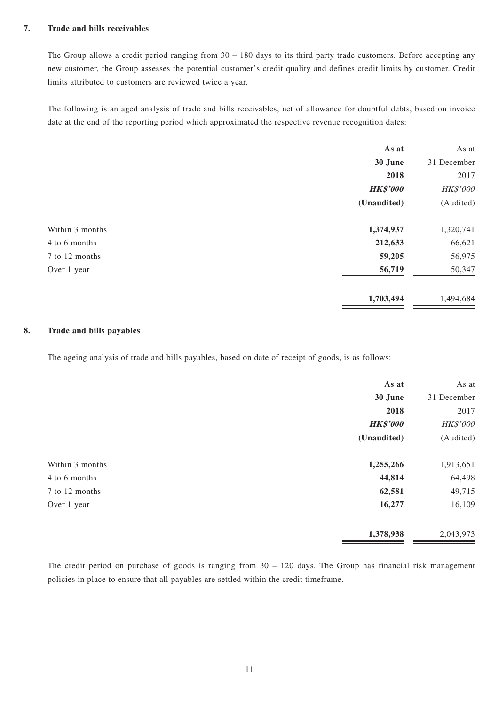#### **7. Trade and bills receivables**

The Group allows a credit period ranging from 30 – 180 days to its third party trade customers. Before accepting any new customer, the Group assesses the potential customer's credit quality and defines credit limits by customer. Credit limits attributed to customers are reviewed twice a year.

The following is an aged analysis of trade and bills receivables, net of allowance for doubtful debts, based on invoice date at the end of the reporting period which approximated the respective revenue recognition dates:

|                 | As at           | As at       |
|-----------------|-----------------|-------------|
|                 | 30 June         | 31 December |
|                 | 2018            | 2017        |
|                 | <b>HK\$'000</b> | HK\$'000    |
|                 | (Unaudited)     | (Audited)   |
| Within 3 months | 1,374,937       | 1,320,741   |
| 4 to 6 months   | 212,633         | 66,621      |
| 7 to 12 months  | 59,205          | 56,975      |
| Over 1 year     | 56,719          | 50,347      |
|                 | 1,703,494       | 1,494,684   |

### **8. Trade and bills payables**

The ageing analysis of trade and bills payables, based on date of receipt of goods, is as follows:

|                 | As at           | As at       |
|-----------------|-----------------|-------------|
|                 | 30 June         | 31 December |
|                 | 2018            | 2017        |
|                 | <b>HK\$'000</b> | HK\$'000    |
|                 | (Unaudited)     | (Audited)   |
| Within 3 months | 1,255,266       | 1,913,651   |
| 4 to 6 months   | 44,814          | 64,498      |
| 7 to 12 months  | 62,581          | 49,715      |
| Over 1 year     | 16,277          | 16,109      |
|                 | 1,378,938       | 2,043,973   |

The credit period on purchase of goods is ranging from  $30 - 120$  days. The Group has financial risk management policies in place to ensure that all payables are settled within the credit timeframe.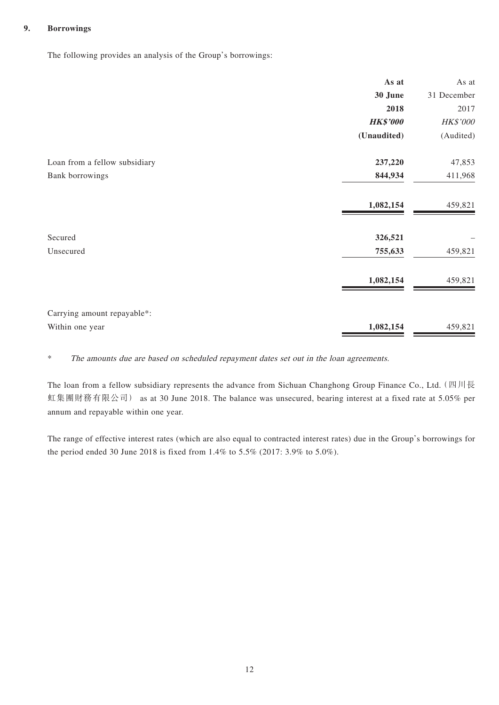### **9. Borrowings**

The following provides an analysis of the Group's borrowings:

|                               | As at           | As at       |
|-------------------------------|-----------------|-------------|
|                               | 30 June         | 31 December |
|                               | 2018            | 2017        |
|                               | <b>HK\$'000</b> | HK\$'000    |
|                               | (Unaudited)     | (Audited)   |
| Loan from a fellow subsidiary | 237,220         | 47,853      |
| Bank borrowings               | 844,934         | 411,968     |
|                               | 1,082,154       | 459,821     |
| Secured                       | 326,521         |             |
| Unsecured                     | 755,633         | 459,821     |
|                               | 1,082,154       | 459,821     |
| Carrying amount repayable*:   |                 |             |
| Within one year               | 1,082,154       | 459,821     |

\* The amounts due are based on scheduled repayment dates set out in the loan agreements.

The loan from a fellow subsidiary represents the advance from Sichuan Changhong Group Finance Co., Ltd. (四川長 虹集團財務有限公司) as at 30 June 2018. The balance was unsecured, bearing interest at a fixed rate at 5.05% per annum and repayable within one year.

The range of effective interest rates (which are also equal to contracted interest rates) due in the Group's borrowings for the period ended 30 June 2018 is fixed from 1.4% to 5.5% (2017: 3.9% to 5.0%).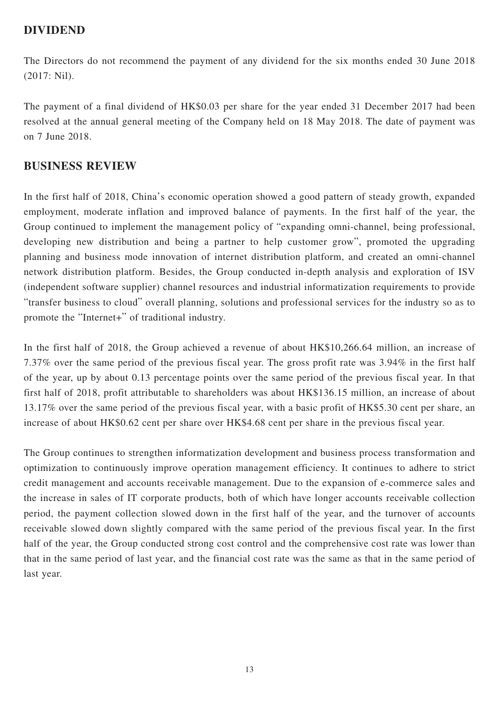### **DIVIDEND**

The Directors do not recommend the payment of any dividend for the six months ended 30 June 2018 (2017: Nil).

The payment of a final dividend of HK\$0.03 per share for the year ended 31 December 2017 had been resolved at the annual general meeting of the Company held on 18 May 2018. The date of payment was on 7 June 2018.

### **BUSINESS REVIEW**

In the first half of 2018, China's economic operation showed a good pattern of steady growth, expanded employment, moderate inflation and improved balance of payments. In the first half of the year, the Group continued to implement the management policy of "expanding omni-channel, being professional, developing new distribution and being a partner to help customer grow", promoted the upgrading planning and business mode innovation of internet distribution platform, and created an omni-channel network distribution platform. Besides, the Group conducted in-depth analysis and exploration of ISV (independent software supplier) channel resources and industrial informatization requirements to provide "transfer business to cloud" overall planning, solutions and professional services for the industry so as to promote the "Internet+" of traditional industry.

In the first half of 2018, the Group achieved a revenue of about HK\$10,266.64 million, an increase of 7.37% over the same period of the previous fiscal year. The gross profit rate was 3.94% in the first half of the year, up by about 0.13 percentage points over the same period of the previous fiscal year. In that first half of 2018, profit attributable to shareholders was about HK\$136.15 million, an increase of about 13.17% over the same period of the previous fiscal year, with a basic profit of HK\$5.30 cent per share, an increase of about HK\$0.62 cent per share over HK\$4.68 cent per share in the previous fiscal year.

The Group continues to strengthen informatization development and business process transformation and optimization to continuously improve operation management efficiency. It continues to adhere to strict credit management and accounts receivable management. Due to the expansion of e-commerce sales and the increase in sales of IT corporate products, both of which have longer accounts receivable collection period, the payment collection slowed down in the first half of the year, and the turnover of accounts receivable slowed down slightly compared with the same period of the previous fiscal year. In the first half of the year, the Group conducted strong cost control and the comprehensive cost rate was lower than that in the same period of last year, and the financial cost rate was the same as that in the same period of last year.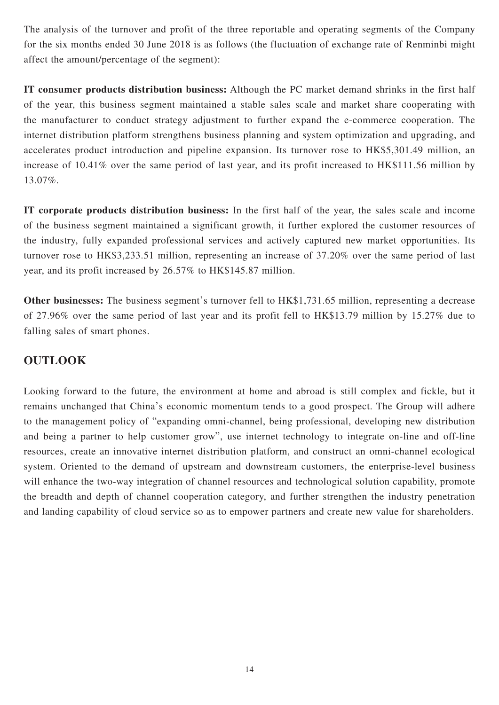The analysis of the turnover and profit of the three reportable and operating segments of the Company for the six months ended 30 June 2018 is as follows (the fluctuation of exchange rate of Renminbi might affect the amount/percentage of the segment):

**IT consumer products distribution business:** Although the PC market demand shrinks in the first half of the year, this business segment maintained a stable sales scale and market share cooperating with the manufacturer to conduct strategy adjustment to further expand the e-commerce cooperation. The internet distribution platform strengthens business planning and system optimization and upgrading, and accelerates product introduction and pipeline expansion. Its turnover rose to HK\$5,301.49 million, an increase of 10.41% over the same period of last year, and its profit increased to HK\$111.56 million by 13.07%.

**IT corporate products distribution business:** In the first half of the year, the sales scale and income of the business segment maintained a significant growth, it further explored the customer resources of the industry, fully expanded professional services and actively captured new market opportunities. Its turnover rose to HK\$3,233.51 million, representing an increase of 37.20% over the same period of last year, and its profit increased by 26.57% to HK\$145.87 million.

**Other businesses:** The business segment's turnover fell to HK\$1,731.65 million, representing a decrease of 27.96% over the same period of last year and its profit fell to HK\$13.79 million by 15.27% due to falling sales of smart phones.

# **OUTLOOK**

Looking forward to the future, the environment at home and abroad is still complex and fickle, but it remains unchanged that China's economic momentum tends to a good prospect. The Group will adhere to the management policy of "expanding omni-channel, being professional, developing new distribution and being a partner to help customer grow", use internet technology to integrate on-line and off-line resources, create an innovative internet distribution platform, and construct an omni-channel ecological system. Oriented to the demand of upstream and downstream customers, the enterprise-level business will enhance the two-way integration of channel resources and technological solution capability, promote the breadth and depth of channel cooperation category, and further strengthen the industry penetration and landing capability of cloud service so as to empower partners and create new value for shareholders.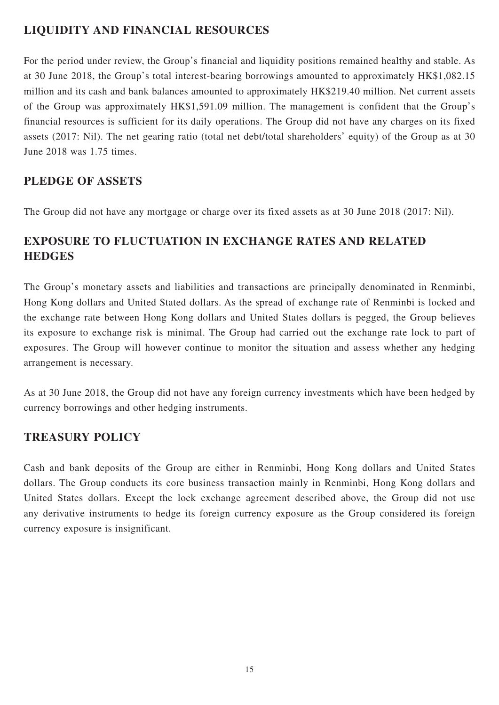# **LIQUIDITY AND FINANCIAL RESOURCES**

For the period under review, the Group's financial and liquidity positions remained healthy and stable. As at 30 June 2018, the Group's total interest-bearing borrowings amounted to approximately HK\$1,082.15 million and its cash and bank balances amounted to approximately HK\$219.40 million. Net current assets of the Group was approximately HK\$1,591.09 million. The management is confident that the Group's financial resources is sufficient for its daily operations. The Group did not have any charges on its fixed assets (2017: Nil). The net gearing ratio (total net debt/total shareholders' equity) of the Group as at 30 June 2018 was 1.75 times.

## **PLEDGE OF ASSETS**

The Group did not have any mortgage or charge over its fixed assets as at 30 June 2018 (2017: Nil).

# **EXPOSURE TO FLUCTUATION IN EXCHANGE RATES AND RELATED HEDGES**

The Group's monetary assets and liabilities and transactions are principally denominated in Renminbi, Hong Kong dollars and United Stated dollars. As the spread of exchange rate of Renminbi is locked and the exchange rate between Hong Kong dollars and United States dollars is pegged, the Group believes its exposure to exchange risk is minimal. The Group had carried out the exchange rate lock to part of exposures. The Group will however continue to monitor the situation and assess whether any hedging arrangement is necessary.

As at 30 June 2018, the Group did not have any foreign currency investments which have been hedged by currency borrowings and other hedging instruments.

# **TREASURY POLICY**

Cash and bank deposits of the Group are either in Renminbi, Hong Kong dollars and United States dollars. The Group conducts its core business transaction mainly in Renminbi, Hong Kong dollars and United States dollars. Except the lock exchange agreement described above, the Group did not use any derivative instruments to hedge its foreign currency exposure as the Group considered its foreign currency exposure is insignificant.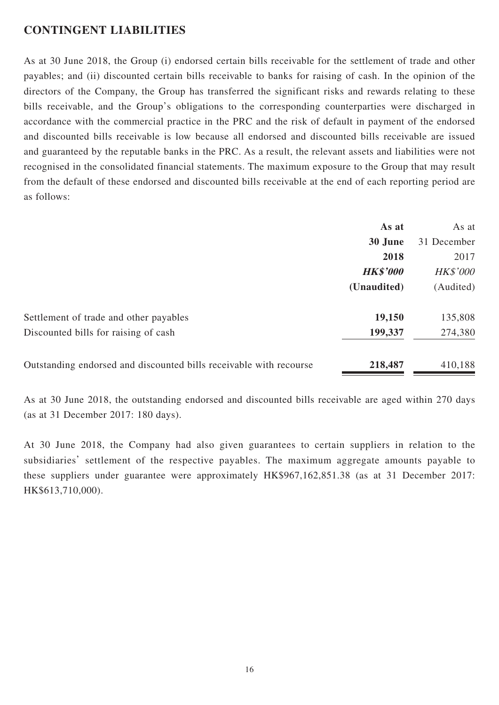### **CONTINGENT LIABILITIES**

As at 30 June 2018, the Group (i) endorsed certain bills receivable for the settlement of trade and other payables; and (ii) discounted certain bills receivable to banks for raising of cash. In the opinion of the directors of the Company, the Group has transferred the significant risks and rewards relating to these bills receivable, and the Group's obligations to the corresponding counterparties were discharged in accordance with the commercial practice in the PRC and the risk of default in payment of the endorsed and discounted bills receivable is low because all endorsed and discounted bills receivable are issued and guaranteed by the reputable banks in the PRC. As a result, the relevant assets and liabilities were not recognised in the consolidated financial statements. The maximum exposure to the Group that may result from the default of these endorsed and discounted bills receivable at the end of each reporting period are as follows:

|                                                                    | As at           | As at           |
|--------------------------------------------------------------------|-----------------|-----------------|
|                                                                    | 30 June         | 31 December     |
|                                                                    | 2018            | 2017            |
|                                                                    | <b>HK\$'000</b> | <b>HK\$'000</b> |
|                                                                    | (Unaudited)     | (Audited)       |
| Settlement of trade and other payables                             | 19,150          | 135,808         |
| Discounted bills for raising of cash                               | 199,337         | 274,380         |
| Outstanding endorsed and discounted bills receivable with recourse | 218,487         | 410,188         |

As at 30 June 2018, the outstanding endorsed and discounted bills receivable are aged within 270 days (as at 31 December 2017: 180 days).

At 30 June 2018, the Company had also given guarantees to certain suppliers in relation to the subsidiaries' settlement of the respective payables. The maximum aggregate amounts payable to these suppliers under guarantee were approximately HK\$967,162,851.38 (as at 31 December 2017: HK\$613,710,000).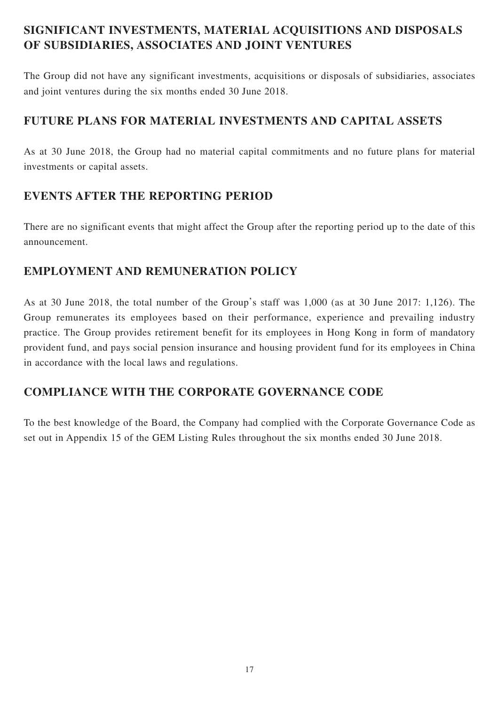# **SIGNIFICANT INVESTMENTS, MATERIAL ACQUISITIONS AND DISPOSALS OF SUBSIDIARIES, ASSOCIATES AND JOINT VENTURES**

The Group did not have any significant investments, acquisitions or disposals of subsidiaries, associates and joint ventures during the six months ended 30 June 2018.

## **FUTURE PLANS FOR MATERIAL INVESTMENTS AND CAPITAL ASSETS**

As at 30 June 2018, the Group had no material capital commitments and no future plans for material investments or capital assets.

# **EVENTS AFTER THE REPORTING PERIOD**

There are no significant events that might affect the Group after the reporting period up to the date of this announcement.

# **EMPLOYMENT AND REMUNERATION POLICY**

As at 30 June 2018, the total number of the Group's staff was 1,000 (as at 30 June 2017: 1,126). The Group remunerates its employees based on their performance, experience and prevailing industry practice. The Group provides retirement benefit for its employees in Hong Kong in form of mandatory provident fund, and pays social pension insurance and housing provident fund for its employees in China in accordance with the local laws and regulations.

# **COMPLIANCE WITH THE CORPORATE GOVERNANCE CODE**

To the best knowledge of the Board, the Company had complied with the Corporate Governance Code as set out in Appendix 15 of the GEM Listing Rules throughout the six months ended 30 June 2018.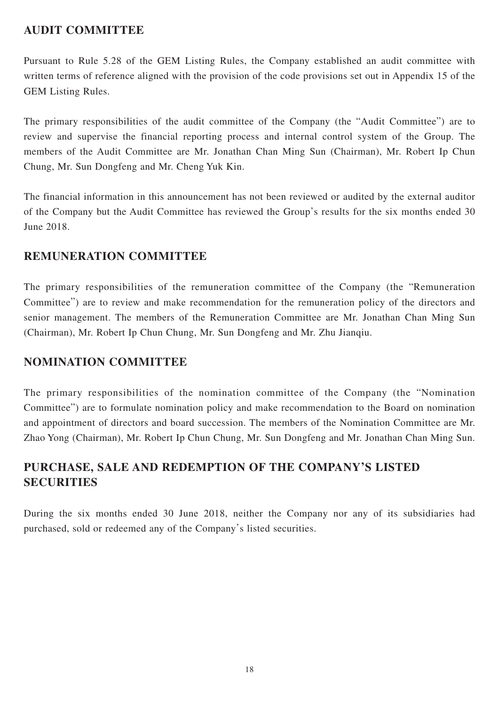# **AUDIT COMMITTEE**

Pursuant to Rule 5.28 of the GEM Listing Rules, the Company established an audit committee with written terms of reference aligned with the provision of the code provisions set out in Appendix 15 of the GEM Listing Rules.

The primary responsibilities of the audit committee of the Company (the "Audit Committee") are to review and supervise the financial reporting process and internal control system of the Group. The members of the Audit Committee are Mr. Jonathan Chan Ming Sun (Chairman), Mr. Robert Ip Chun Chung, Mr. Sun Dongfeng and Mr. Cheng Yuk Kin.

The financial information in this announcement has not been reviewed or audited by the external auditor of the Company but the Audit Committee has reviewed the Group's results for the six months ended 30 June 2018.

## **REMUNERATION COMMITTEE**

The primary responsibilities of the remuneration committee of the Company (the "Remuneration Committee") are to review and make recommendation for the remuneration policy of the directors and senior management. The members of the Remuneration Committee are Mr. Jonathan Chan Ming Sun (Chairman), Mr. Robert Ip Chun Chung, Mr. Sun Dongfeng and Mr. Zhu Jianqiu.

### **NOMINATION COMMITTEE**

The primary responsibilities of the nomination committee of the Company (the "Nomination Committee") are to formulate nomination policy and make recommendation to the Board on nomination and appointment of directors and board succession. The members of the Nomination Committee are Mr. Zhao Yong (Chairman), Mr. Robert Ip Chun Chung, Mr. Sun Dongfeng and Mr. Jonathan Chan Ming Sun.

# **PURCHASE, SALE AND REDEMPTION OF THE COMPANY'S LISTED SECURITIES**

During the six months ended 30 June 2018, neither the Company nor any of its subsidiaries had purchased, sold or redeemed any of the Company's listed securities.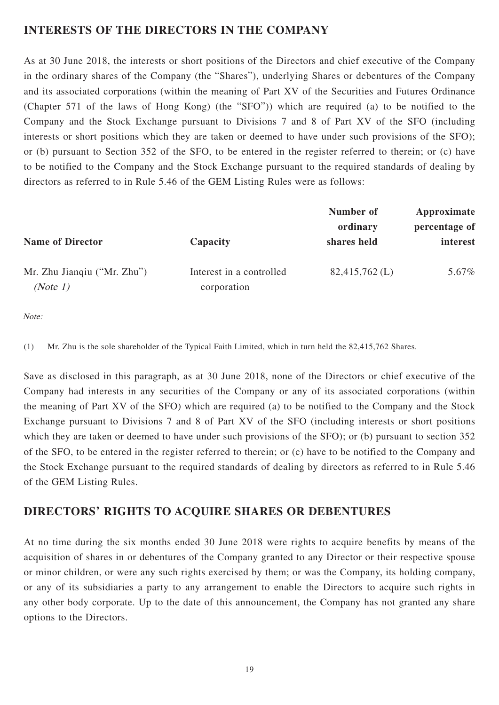## **INTERESTS OF THE DIRECTORS IN THE COMPANY**

As at 30 June 2018, the interests or short positions of the Directors and chief executive of the Company in the ordinary shares of the Company (the "Shares"), underlying Shares or debentures of the Company and its associated corporations (within the meaning of Part XV of the Securities and Futures Ordinance (Chapter 571 of the laws of Hong Kong) (the "SFO")) which are required (a) to be notified to the Company and the Stock Exchange pursuant to Divisions 7 and 8 of Part XV of the SFO (including interests or short positions which they are taken or deemed to have under such provisions of the SFO); or (b) pursuant to Section 352 of the SFO, to be entered in the register referred to therein; or (c) have to be notified to the Company and the Stock Exchange pursuant to the required standards of dealing by directors as referred to in Rule 5.46 of the GEM Listing Rules were as follows:

| <b>Name of Director</b>                 | Capacity                                | Number of<br>ordinary<br>shares held | Approximate<br>percentage of<br>interest |
|-----------------------------------------|-----------------------------------------|--------------------------------------|------------------------------------------|
| Mr. Zhu Jianqiu ("Mr. Zhu")<br>(Note 1) | Interest in a controlled<br>corporation | $82,415,762$ (L)                     | 5.67%                                    |

Note:

(1) Mr. Zhu is the sole shareholder of the Typical Faith Limited, which in turn held the 82,415,762 Shares.

Save as disclosed in this paragraph, as at 30 June 2018, none of the Directors or chief executive of the Company had interests in any securities of the Company or any of its associated corporations (within the meaning of Part XV of the SFO) which are required (a) to be notified to the Company and the Stock Exchange pursuant to Divisions 7 and 8 of Part XV of the SFO (including interests or short positions which they are taken or deemed to have under such provisions of the SFO); or (b) pursuant to section 352 of the SFO, to be entered in the register referred to therein; or (c) have to be notified to the Company and the Stock Exchange pursuant to the required standards of dealing by directors as referred to in Rule 5.46 of the GEM Listing Rules.

### **DIRECTORS' RIGHTS TO ACQUIRE SHARES OR DEBENTURES**

At no time during the six months ended 30 June 2018 were rights to acquire benefits by means of the acquisition of shares in or debentures of the Company granted to any Director or their respective spouse or minor children, or were any such rights exercised by them; or was the Company, its holding company, or any of its subsidiaries a party to any arrangement to enable the Directors to acquire such rights in any other body corporate. Up to the date of this announcement, the Company has not granted any share options to the Directors.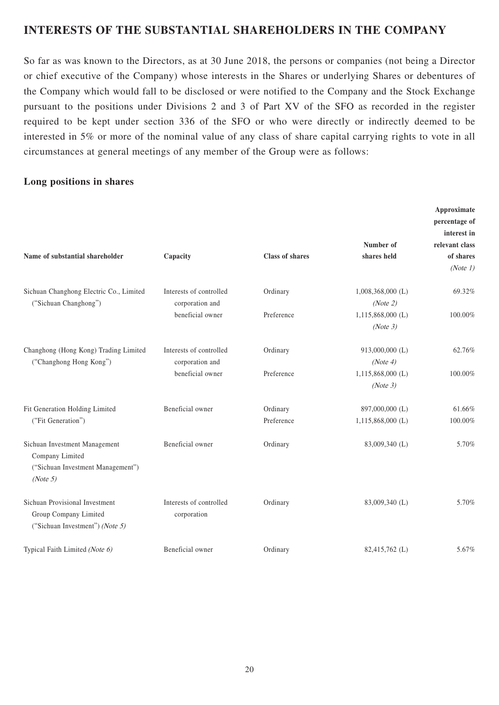## **INTERESTS OF THE SUBSTANTIAL SHAREHOLDERS IN THE COMPANY**

So far as was known to the Directors, as at 30 June 2018, the persons or companies (not being a Director or chief executive of the Company) whose interests in the Shares or underlying Shares or debentures of the Company which would fall to be disclosed or were notified to the Company and the Stock Exchange pursuant to the positions under Divisions 2 and 3 of Part XV of the SFO as recorded in the register required to be kept under section 336 of the SFO or who were directly or indirectly deemed to be interested in 5% or more of the nominal value of any class of share capital carrying rights to vote in all circumstances at general meetings of any member of the Group were as follows:

### **Long positions in shares**

| Name of substantial shareholder                                                                   | Capacity                               | <b>Class of shares</b> | Number of<br>shares held | Approximate<br>percentage of<br>interest in<br>relevant class<br>of shares<br>(Note 1) |
|---------------------------------------------------------------------------------------------------|----------------------------------------|------------------------|--------------------------|----------------------------------------------------------------------------------------|
| Sichuan Changhong Electric Co., Limited                                                           | Interests of controlled                | Ordinary               | $1,008,368,000$ (L)      | 69.32%                                                                                 |
| ("Sichuan Changhong")                                                                             | corporation and                        |                        | (Note 2)                 |                                                                                        |
|                                                                                                   | beneficial owner                       | Preference             | $1,115,868,000$ (L)      | 100.00%                                                                                |
|                                                                                                   |                                        |                        | (Note 3)                 |                                                                                        |
| Changhong (Hong Kong) Trading Limited                                                             | Interests of controlled                | Ordinary               | 913,000,000 (L)          | 62.76%                                                                                 |
| ("Changhong Hong Kong")                                                                           | corporation and                        |                        | (Note 4)                 |                                                                                        |
|                                                                                                   | beneficial owner                       | Preference             | $1,115,868,000$ (L)      | 100.00%                                                                                |
|                                                                                                   |                                        |                        | (Note 3)                 |                                                                                        |
| Fit Generation Holding Limited<br>("Fit Generation")                                              | Beneficial owner                       | Ordinary               | 897,000,000 (L)          | 61.66%                                                                                 |
|                                                                                                   |                                        | Preference             | $1,115,868,000$ (L)      | 100.00%                                                                                |
| Sichuan Investment Management<br>Company Limited<br>("Sichuan Investment Management")<br>(Note 5) | Beneficial owner                       | Ordinary               | 83,009,340 (L)           | 5.70%                                                                                  |
| Sichuan Provisional Investment<br>Group Company Limited<br>("Sichuan Investment") (Note 5)        | Interests of controlled<br>corporation | Ordinary               | 83,009,340 (L)           | 5.70%                                                                                  |
| Typical Faith Limited (Note 6)                                                                    | Beneficial owner                       | Ordinary               | 82,415,762 (L)           | 5.67%                                                                                  |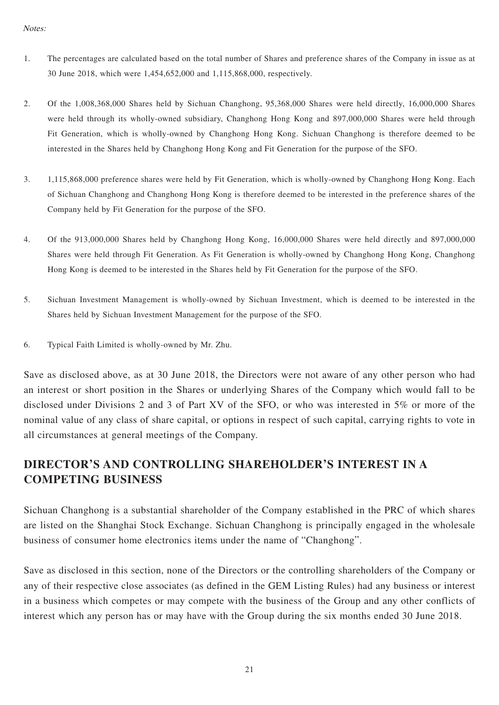- 1. The percentages are calculated based on the total number of Shares and preference shares of the Company in issue as at 30 June 2018, which were 1,454,652,000 and 1,115,868,000, respectively.
- 2. Of the 1,008,368,000 Shares held by Sichuan Changhong, 95,368,000 Shares were held directly, 16,000,000 Shares were held through its wholly-owned subsidiary, Changhong Hong Kong and 897,000,000 Shares were held through Fit Generation, which is wholly-owned by Changhong Hong Kong. Sichuan Changhong is therefore deemed to be interested in the Shares held by Changhong Hong Kong and Fit Generation for the purpose of the SFO.
- 3. 1,115,868,000 preference shares were held by Fit Generation, which is wholly-owned by Changhong Hong Kong. Each of Sichuan Changhong and Changhong Hong Kong is therefore deemed to be interested in the preference shares of the Company held by Fit Generation for the purpose of the SFO.
- 4. Of the 913,000,000 Shares held by Changhong Hong Kong, 16,000,000 Shares were held directly and 897,000,000 Shares were held through Fit Generation. As Fit Generation is wholly-owned by Changhong Hong Kong, Changhong Hong Kong is deemed to be interested in the Shares held by Fit Generation for the purpose of the SFO.
- 5. Sichuan Investment Management is wholly-owned by Sichuan Investment, which is deemed to be interested in the Shares held by Sichuan Investment Management for the purpose of the SFO.
- 6. Typical Faith Limited is wholly-owned by Mr. Zhu.

Save as disclosed above, as at 30 June 2018, the Directors were not aware of any other person who had an interest or short position in the Shares or underlying Shares of the Company which would fall to be disclosed under Divisions 2 and 3 of Part XV of the SFO, or who was interested in 5% or more of the nominal value of any class of share capital, or options in respect of such capital, carrying rights to vote in all circumstances at general meetings of the Company.

# **DIRECTOR'S AND CONTROLLING SHAREHOLDER'S INTEREST IN A COMPETING BUSINESS**

Sichuan Changhong is a substantial shareholder of the Company established in the PRC of which shares are listed on the Shanghai Stock Exchange. Sichuan Changhong is principally engaged in the wholesale business of consumer home electronics items under the name of "Changhong".

Save as disclosed in this section, none of the Directors or the controlling shareholders of the Company or any of their respective close associates (as defined in the GEM Listing Rules) had any business or interest in a business which competes or may compete with the business of the Group and any other conflicts of interest which any person has or may have with the Group during the six months ended 30 June 2018.